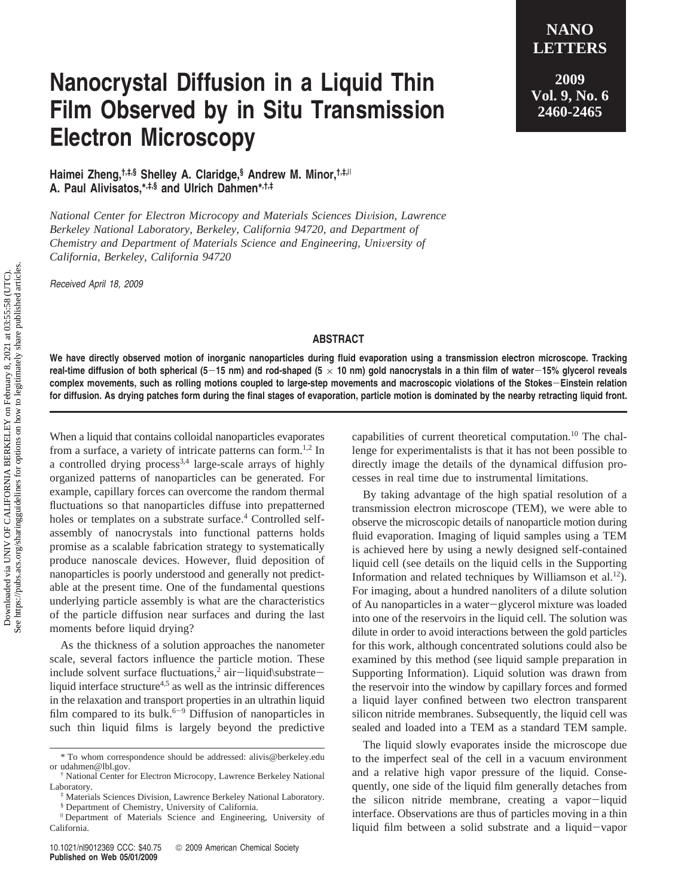## **Nanocrystal Diffusion in a Liquid Thin Film Observed by in Situ Transmission Electron Microscopy**

**2009 Vol. 9, No. 6 2460-2465**

**NANO LETTERS**

**Haimei Zheng,†,‡,§ Shelley A. Claridge,§ Andrew M. Minor,†,‡,**<sup>|</sup> **A. Paul Alivisatos,\*,‡,§ and Ulrich Dahmen\*,†,‡**

*National Center for Electron Microcopy and Materials Sciences Di*V*ision, Lawrence Berkeley National Laboratory, Berkeley, California 94720, and Department of Chemistry and Department of Materials Science and Engineering, University of California, Berkeley, California 94720*

*Received April 18, 2009*

## **ABSTRACT**

**We have directly observed motion of inorganic nanoparticles during fluid evaporation using a transmission electron microscope. Tracking real-time diffusion of both spherical (5**-**15 nm) and rod-shaped (5** <sup>×</sup> **10 nm) gold nanocrystals in a thin film of water**-**15% glycerol reveals complex movements, such as rolling motions coupled to large-step movements and macroscopic violations of the Stokes**-**Einstein relation for diffusion. As drying patches form during the final stages of evaporation, particle motion is dominated by the nearby retracting liquid front.**

When a liquid that contains colloidal nanoparticles evaporates from a surface, a variety of intricate patterns can form.<sup>1,2</sup> In a controlled drying process<sup>3,4</sup> large-scale arrays of highly organized patterns of nanoparticles can be generated. For example, capillary forces can overcome the random thermal fluctuations so that nanoparticles diffuse into prepatterned holes or templates on a substrate surface.<sup>4</sup> Controlled selfassembly of nanocrystals into functional patterns holds promise as a scalable fabrication strategy to systematically produce nanoscale devices. However, fluid deposition of nanoparticles is poorly understood and generally not predictable at the present time. One of the fundamental questions underlying particle assembly is what are the characteristics of the particle diffusion near surfaces and during the last moments before liquid drying?

As the thickness of a solution approaches the nanometer scale, several factors influence the particle motion. These include solvent surface fluctuations,<sup>2</sup> air-liquid\substrateliquid interface structure<sup>4,5</sup> as well as the intrinsic differences in the relaxation and transport properties in an ultrathin liquid film compared to its bulk.<sup>6-9</sup> Diffusion of nanoparticles in such thin liquid films is largely beyond the predictive capabilities of current theoretical computation.10 The challenge for experimentalists is that it has not been possible to directly image the details of the dynamical diffusion processes in real time due to instrumental limitations.

By taking advantage of the high spatial resolution of a transmission electron microscope (TEM), we were able to observe the microscopic details of nanoparticle motion during fluid evaporation. Imaging of liquid samples using a TEM is achieved here by using a newly designed self-contained liquid cell (see details on the liquid cells in the Supporting Information and related techniques by Williamson et al.<sup>12</sup>). For imaging, about a hundred nanoliters of a dilute solution of Au nanoparticles in a water-glycerol mixture was loaded into one of the reservoirs in the liquid cell. The solution was dilute in order to avoid interactions between the gold particles for this work, although concentrated solutions could also be examined by this method (see liquid sample preparation in Supporting Information). Liquid solution was drawn from the reservoir into the window by capillary forces and formed a liquid layer confined between two electron transparent silicon nitride membranes. Subsequently, the liquid cell was sealed and loaded into a TEM as a standard TEM sample.

The liquid slowly evaporates inside the microscope due to the imperfect seal of the cell in a vacuum environment and a relative high vapor pressure of the liquid. Consequently, one side of the liquid film generally detaches from the silicon nitride membrane, creating a vapor-liquid interface. Observations are thus of particles moving in a thin liquid film between a solid substrate and a liquid-vapor

<sup>\*</sup> To whom correspondence should be addressed: alivis@berkeley.edu

National Center for Electron Microcopy, Lawrence Berkeley National Laboratory.

<sup>‡</sup> Materials Sciences Division, Lawrence Berkeley National Laboratory.

<sup>§</sup> Department of Chemistry, University of California.

<sup>|</sup> Department of Materials Science and Engineering, University of California.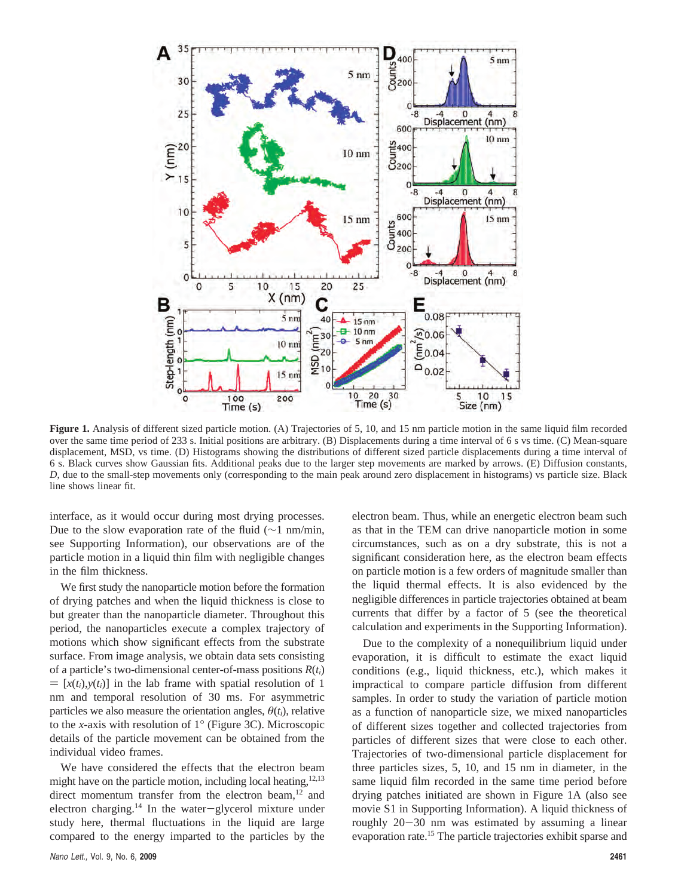

**Figure 1.** Analysis of different sized particle motion. (A) Trajectories of 5, 10, and 15 nm particle motion in the same liquid film recorded over the same time period of 233 s. Initial positions are arbitrary. (B) Displacements during a time interval of 6 s vs time. (C) Mean-square displacement, MSD, vs time. (D) Histograms showing the distributions of different sized particle displacements during a time interval of 6 s. Black curves show Gaussian fits. Additional peaks due to the larger step movements are marked by arrows. (E) Diffusion constants, *D*, due to the small-step movements only (corresponding to the main peak around zero displacement in histograms) vs particle size. Black line shows linear fit.

interface, as it would occur during most drying processes. Due to the slow evaporation rate of the fluid (∼1 nm/min, see Supporting Information), our observations are of the particle motion in a liquid thin film with negligible changes in the film thickness.

We first study the nanoparticle motion before the formation of drying patches and when the liquid thickness is close to but greater than the nanoparticle diameter. Throughout this period, the nanoparticles execute a complex trajectory of motions which show significant effects from the substrate surface. From image analysis, we obtain data sets consisting of a particle's two-dimensional center-of-mass positions *R*(*ti*)  $= [x(t_i), y(t_i)]$  in the lab frame with spatial resolution of 1 nm and temporal resolution of 30 ms. For asymmetric particles we also measure the orientation angles,  $\theta(t_i)$ , relative to the *x*-axis with resolution of 1° (Figure 3C). Microscopic details of the particle movement can be obtained from the individual video frames.

We have considered the effects that the electron beam might have on the particle motion, including local heating, $12,13$ direct momentum transfer from the electron beam,<sup>12</sup> and electron charging.<sup>14</sup> In the water-glycerol mixture under study here, thermal fluctuations in the liquid are large compared to the energy imparted to the particles by the electron beam. Thus, while an energetic electron beam such as that in the TEM can drive nanoparticle motion in some circumstances, such as on a dry substrate, this is not a significant consideration here, as the electron beam effects on particle motion is a few orders of magnitude smaller than the liquid thermal effects. It is also evidenced by the negligible differences in particle trajectories obtained at beam currents that differ by a factor of 5 (see the theoretical calculation and experiments in the Supporting Information).

Due to the complexity of a nonequilibrium liquid under evaporation, it is difficult to estimate the exact liquid conditions (e.g., liquid thickness, etc.), which makes it impractical to compare particle diffusion from different samples. In order to study the variation of particle motion as a function of nanoparticle size, we mixed nanoparticles of different sizes together and collected trajectories from particles of different sizes that were close to each other. Trajectories of two-dimensional particle displacement for three particles sizes, 5, 10, and 15 nm in diameter, in the same liquid film recorded in the same time period before drying patches initiated are shown in Figure 1A (also see movie S1 in Supporting Information). A liquid thickness of roughly 20-30 nm was estimated by assuming a linear evaporation rate.15 The particle trajectories exhibit sparse and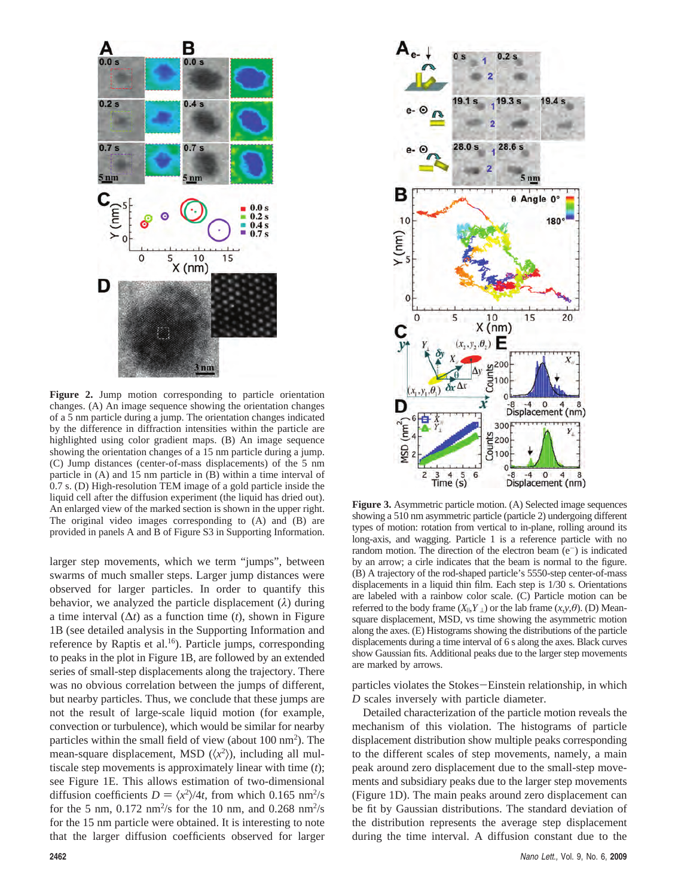

**Figure 2.** Jump motion corresponding to particle orientation changes. (A) An image sequence showing the orientation changes of a 5 nm particle during a jump. The orientation changes indicated by the difference in diffraction intensities within the particle are highlighted using color gradient maps. (B) An image sequence showing the orientation changes of a 15 nm particle during a jump. (C) Jump distances (center-of-mass displacements) of the 5 nm particle in (A) and 15 nm particle in (B) within a time interval of 0.7 s. (D) High-resolution TEM image of a gold particle inside the liquid cell after the diffusion experiment (the liquid has dried out). An enlarged view of the marked section is shown in the upper right. The original video images corresponding to (A) and (B) are provided in panels A and B of Figure S3 in Supporting Information.

larger step movements, which we term "jumps", between swarms of much smaller steps. Larger jump distances were observed for larger particles. In order to quantify this behavior, we analyzed the particle displacement (*λ*) during a time interval (∆*t*) as a function time (*t*), shown in Figure 1B (see detailed analysis in the Supporting Information and reference by Raptis et al.<sup>16</sup>). Particle jumps, corresponding to peaks in the plot in Figure 1B, are followed by an extended series of small-step displacements along the trajectory. There was no obvious correlation between the jumps of different, but nearby particles. Thus, we conclude that these jumps are not the result of large-scale liquid motion (for example, convection or turbulence), which would be similar for nearby particles within the small field of view (about 100 nm<sup>2</sup>). The mean-square displacement, MSD  $(\langle x^2 \rangle)$ , including all multiscale step movements is approximately linear with time (*t*); see Figure 1E. This allows estimation of two-dimensional diffusion coefficients  $D = \langle x^2 \rangle / 4t$ , from which 0.165 nm<sup>2</sup>/s<br>for the 5 nm 0.172 nm<sup>2</sup>/s for the 10 nm and 0.268 nm<sup>2</sup>/s for the 5 nm,  $0.172 \text{ nm}^2/\text{s}$  for the 10 nm, and  $0.268 \text{ nm}^2/\text{s}$ for the 15 nm particle were obtained. It is interesting to note that the larger diffusion coefficients observed for larger



**Figure 3.** Asymmetric particle motion. (A) Selected image sequences showing a 510 nm asymmetric particle (particle 2) undergoing different types of motion: rotation from vertical to in-plane, rolling around its long-axis, and wagging. Particle 1 is a reference particle with no random motion. The direction of the electron beam  $(e^-)$  is indicated by an arrow; a cirle indicates that the beam is normal to the figure. (B) A trajectory of the rod-shaped particle's 5550-step center-of-mass displacements in a liquid thin film. Each step is 1/30 s. Orientations are labeled with a rainbow color scale. (C) Particle motion can be referred to the body frame  $(X_{\parallel}, Y_{\perp})$  or the lab frame  $(x, y, \theta)$ . (D) Meansquare displacement, MSD, vs time showing the asymmetric motion along the axes. (E) Histograms showing the distributions of the particle displacements during a time interval of 6 s along the axes. Black curves show Gaussian fits. Additional peaks due to the larger step movements are marked by arrows.

particles violates the Stokes-Einstein relationship, in which *D* scales inversely with particle diameter.

Detailed characterization of the particle motion reveals the mechanism of this violation. The histograms of particle displacement distribution show multiple peaks corresponding to the different scales of step movements, namely, a main peak around zero displacement due to the small-step movements and subsidiary peaks due to the larger step movements (Figure 1D). The main peaks around zero displacement can be fit by Gaussian distributions. The standard deviation of the distribution represents the average step displacement during the time interval. A diffusion constant due to the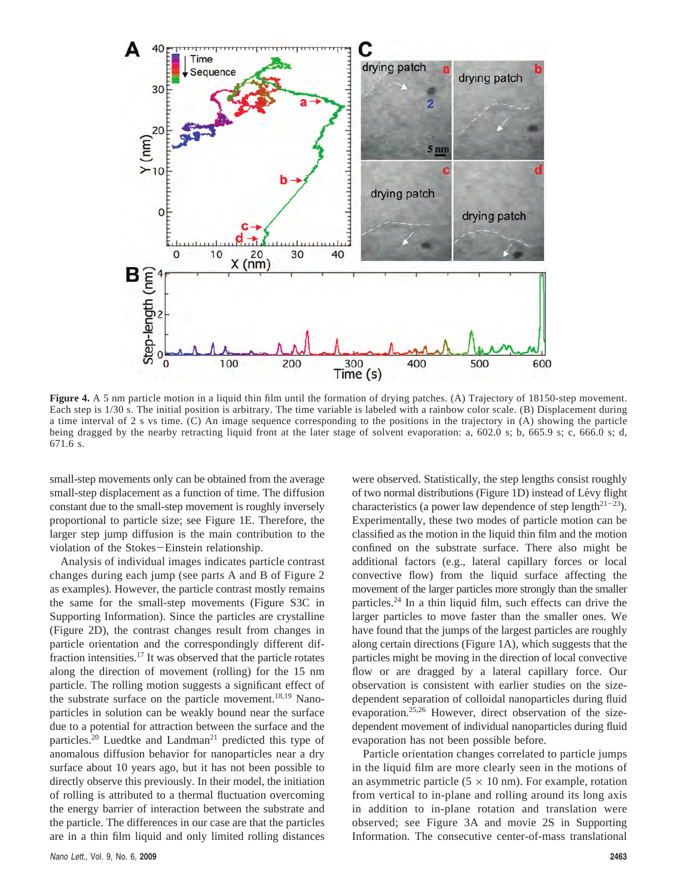

**Figure 4.** A 5 nm particle motion in a liquid thin film until the formation of drying patches. (A) Trajectory of 18150-step movement. Each step is 1/30 s. The initial position is arbitrary. The time variable is labeled with a rainbow color scale. (B) Displacement during a time interval of 2 s vs time. (C) An image sequence corresponding to the positions in the trajectory in (A) showing the particle being dragged by the nearby retracting liquid front at the later stage of solvent evaporation: a, 602.0 s; b, 665.9 s; c, 666.0 s; d, 671.6 s.

small-step movements only can be obtained from the average small-step displacement as a function of time. The diffusion constant due to the small-step movement is roughly inversely proportional to particle size; see Figure 1E. Therefore, the larger step jump diffusion is the main contribution to the violation of the Stokes-Einstein relationship.

Analysis of individual images indicates particle contrast changes during each jump (see parts A and B of Figure 2 as examples). However, the particle contrast mostly remains the same for the small-step movements (Figure S3C in Supporting Information). Since the particles are crystalline (Figure 2D), the contrast changes result from changes in particle orientation and the correspondingly different diffraction intensities.17 It was observed that the particle rotates along the direction of movement (rolling) for the 15 nm particle. The rolling motion suggests a significant effect of the substrate surface on the particle movement.<sup>18,19</sup> Nanoparticles in solution can be weakly bound near the surface due to a potential for attraction between the surface and the particles.<sup>20</sup> Luedtke and Landman<sup>21</sup> predicted this type of anomalous diffusion behavior for nanoparticles near a dry surface about 10 years ago, but it has not been possible to directly observe this previously. In their model, the initiation of rolling is attributed to a thermal fluctuation overcoming the energy barrier of interaction between the substrate and the particle. The differences in our case are that the particles are in a thin film liquid and only limited rolling distances were observed. Statistically, the step lengths consist roughly of two normal distributions (Figure 1D) instead of Lévy flight characteristics (a power law dependence of step length<sup>21-23</sup>). Experimentally, these two modes of particle motion can be classified as the motion in the liquid thin film and the motion confined on the substrate surface. There also might be additional factors (e.g., lateral capillary forces or local convective flow) from the liquid surface affecting the movement of the larger particles more strongly than the smaller particles.24 In a thin liquid film, such effects can drive the larger particles to move faster than the smaller ones. We have found that the jumps of the largest particles are roughly along certain directions (Figure 1A), which suggests that the particles might be moving in the direction of local convective flow or are dragged by a lateral capillary force. Our observation is consistent with earlier studies on the sizedependent separation of colloidal nanoparticles during fluid evaporation.<sup>25,26</sup> However, direct observation of the sizedependent movement of individual nanoparticles during fluid evaporation has not been possible before.

Particle orientation changes correlated to particle jumps in the liquid film are more clearly seen in the motions of an asymmetric particle  $(5 \times 10 \text{ nm})$ . For example, rotation from vertical to in-plane and rolling around its long axis in addition to in-plane rotation and translation were observed; see Figure 3A and movie 2S in Supporting Information. The consecutive center-of-mass translational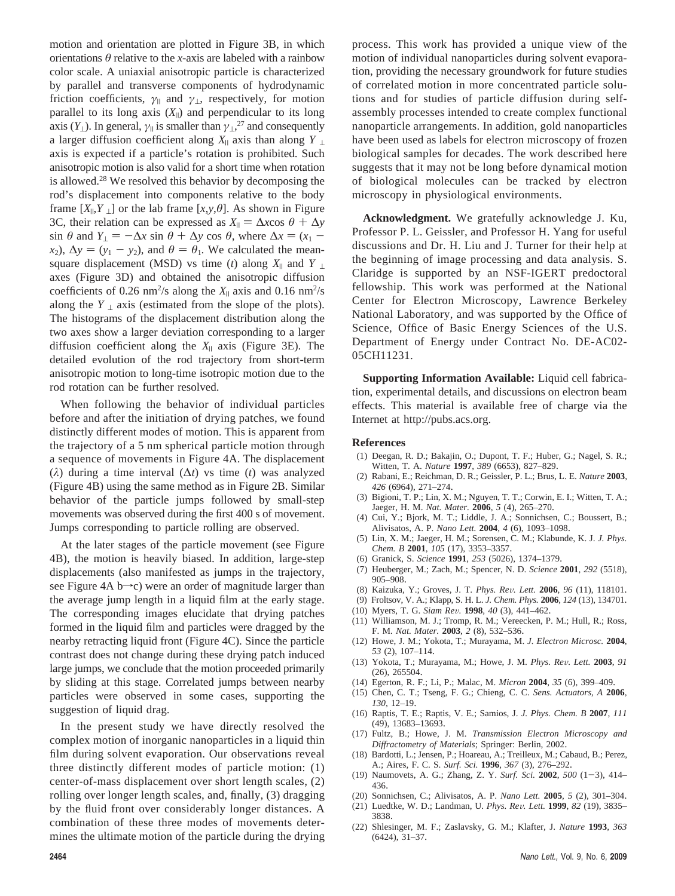motion and orientation are plotted in Figure 3B, in which orientations  $\theta$  relative to the *x*-axis are labeled with a rainbow color scale. A uniaxial anisotropic particle is characterized by parallel and transverse components of hydrodynamic friction coefficients,  $\gamma_{\parallel}$  and  $\gamma_{\perp}$ , respectively, for motion parallel to its long axis  $(X_{\parallel})$  and perpendicular to its long axis  $(Y_{\perp})$ . In general,  $\gamma_{\parallel}$  is smaller than  $\gamma_{\perp}$ ,<sup>27</sup> and consequently a larger diffusion coefficient along *X*<sup>|</sup> axis than along *Y* <sup>⊥</sup> axis is expected if a particle's rotation is prohibited. Such anisotropic motion is also valid for a short time when rotation is allowed.28 We resolved this behavior by decomposing the rod's displacement into components relative to the body frame  $[X_{\parallel}, Y_{\perp}]$  or the lab frame  $[x, y, \theta]$ . As shown in Figure 3C, their relation can be expressed as  $X_{\parallel} = \Delta x \cos \theta + \Delta y$  $\sin \theta$  and  $Y_{\perp} = -\Delta x \sin \theta + \Delta y \cos \theta$ , where  $\Delta x = (x_1$ *x*<sub>2</sub>),  $\Delta y = (y_1 - y_2)$ , and  $\theta = \theta_1$ . We calculated the meansquare displacement (MSD) vs time (*t*) along  $X_{\parallel}$  and  $Y_{\perp}$ axes (Figure 3D) and obtained the anisotropic diffusion coefficients of 0.26 nm<sup>2</sup>/s along the  $X_{\parallel}$  axis and 0.16 nm<sup>2</sup>/s along the  $Y_\perp$  axis (estimated from the slope of the plots). The histograms of the displacement distribution along the two axes show a larger deviation corresponding to a larger diffusion coefficient along the  $X_{\parallel}$  axis (Figure 3E). The detailed evolution of the rod trajectory from short-term anisotropic motion to long-time isotropic motion due to the rod rotation can be further resolved.

When following the behavior of individual particles before and after the initiation of drying patches, we found distinctly different modes of motion. This is apparent from the trajectory of a 5 nm spherical particle motion through a sequence of movements in Figure 4A. The displacement (*λ*) during a time interval (∆*t*) vs time (*t*) was analyzed (Figure 4B) using the same method as in Figure 2B. Similar behavior of the particle jumps followed by small-step movements was observed during the first 400 s of movement. Jumps corresponding to particle rolling are observed.

At the later stages of the particle movement (see Figure 4B), the motion is heavily biased. In addition, large-step displacements (also manifested as jumps in the trajectory, see Figure 4A  $b \rightarrow c$ ) were an order of magnitude larger than the average jump length in a liquid film at the early stage. The corresponding images elucidate that drying patches formed in the liquid film and particles were dragged by the nearby retracting liquid front (Figure 4C). Since the particle contrast does not change during these drying patch induced large jumps, we conclude that the motion proceeded primarily by sliding at this stage. Correlated jumps between nearby particles were observed in some cases, supporting the suggestion of liquid drag.

In the present study we have directly resolved the complex motion of inorganic nanoparticles in a liquid thin film during solvent evaporation. Our observations reveal three distinctly different modes of particle motion: (1) center-of-mass displacement over short length scales, (2) rolling over longer length scales, and, finally, (3) dragging by the fluid front over considerably longer distances. A combination of these three modes of movements determines the ultimate motion of the particle during the drying process. This work has provided a unique view of the motion of individual nanoparticles during solvent evaporation, providing the necessary groundwork for future studies of correlated motion in more concentrated particle solutions and for studies of particle diffusion during selfassembly processes intended to create complex functional nanoparticle arrangements. In addition, gold nanoparticles have been used as labels for electron microscopy of frozen biological samples for decades. The work described here suggests that it may not be long before dynamical motion of biological molecules can be tracked by electron microscopy in physiological environments.

**Acknowledgment.** We gratefully acknowledge J. Ku, Professor P. L. Geissler, and Professor H. Yang for useful discussions and Dr. H. Liu and J. Turner for their help at the beginning of image processing and data analysis. S. Claridge is supported by an NSF-IGERT predoctoral fellowship. This work was performed at the National Center for Electron Microscopy, Lawrence Berkeley National Laboratory, and was supported by the Office of Science, Office of Basic Energy Sciences of the U.S. Department of Energy under Contract No. DE-AC02- 05CH11231.

**Supporting Information Available:** Liquid cell fabrication, experimental details, and discussions on electron beam effects. This material is available free of charge via the Internet at http://pubs.acs.org.

## **References**

- (1) Deegan, R. D.; Bakajin, O.; Dupont, T. F.; Huber, G.; Nagel, S. R.; Witten, T. A. *Nature* **1997**, *389* (6653), 827–829.
- (2) Rabani, E.; Reichman, D. R.; Geissler, P. L.; Brus, L. E. *Nature* **2003**, *426* (6964), 271–274.
- (3) Bigioni, T. P.; Lin, X. M.; Nguyen, T. T.; Corwin, E. I.; Witten, T. A.; Jaeger, H. M. *Nat. Mater.* **2006**, *5* (4), 265–270.
- (4) Cui, Y.; Bjork, M. T.; Liddle, J. A.; Sonnichsen, C.; Boussert, B.; Alivisatos, A. P. *Nano Lett.* **2004**, *4* (6), 1093–1098.
- (5) Lin, X. M.; Jaeger, H. M.; Sorensen, C. M.; Klabunde, K. J. *J. Phys. Chem. B* **2001**, *105* (17), 3353–3357.
- (6) Granick, S. *Science* **1991**, *253* (5026), 1374–1379.
- (7) Heuberger, M.; Zach, M.; Spencer, N. D. *Science* **2001**, *292* (5518), 905–908.
- (8) Kaizuka, Y.; Groves, J. T. *Phys. Re*V*. Lett.* **<sup>2006</sup>**, *<sup>96</sup>* (11), 118101.
- (9) Froltsov, V. A.; Klapp, S. H. L. *J. Chem. Phys.* **2006**, *124* (13), 134701.
- (10) Myers, T. G. *Siam Re*V*.* **<sup>1998</sup>**, *<sup>40</sup>* (3), 441–462.
- (11) Williamson, M. J.; Tromp, R. M.; Vereecken, P. M.; Hull, R.; Ross, F. M. *Nat. Mater.* **2003**, *2* (8), 532–536.
- (12) Howe, J. M.; Yokota, T.; Murayama, M. *J. Electron Microsc.* **2004**, *53* (2), 107–114.
- (13) Yokota, T.; Murayama, M.; Howe, J. M. *Phys. Re*V*. Lett.* **<sup>2003</sup>**, *<sup>91</sup>* (26), 265504.
- (14) Egerton, R. F.; Li, P.; Malac, M. *Micron* **2004**, *35* (6), 399–409.
- (15) Chen, C. T.; Tseng, F. G.; Chieng, C. C. *Sens. Actuators, A* **2006**, *130*, 12–19.
- (16) Raptis, T. E.; Raptis, V. E.; Samios, J. *J. Phys. Chem. B* **2007**, *111* (49), 13683–13693.
- (17) Fultz, B.; Howe, J. M. *Transmission Electron Microscopy and Diffractometry of Materials*; Springer: Berlin, 2002.
- (18) Bardotti, L.; Jensen, P.; Hoareau, A.; Treilleux, M.; Cabaud, B.; Perez, A.; Aires, F. C. S. *Surf. Sci.* **1996**, *367* (3), 276–292.
- (19) Naumovets, A. G.; Zhang, Z. Y. *Surf. Sci.* **<sup>2002</sup>**, *<sup>500</sup>* (1-3), 414– 436.
- (20) Sonnichsen, C.; Alivisatos, A. P. *Nano Lett.* **2005**, *5* (2), 301–304.
- (21) Luedtke, W. D.; Landman, U. *Phys. Re*V*. Lett.* **<sup>1999</sup>**, *<sup>82</sup>* (19), 3835– 3838.
- (22) Shlesinger, M. F.; Zaslavsky, G. M.; Klafter, J. *Nature* **1993**, *363* (6424), 31–37.